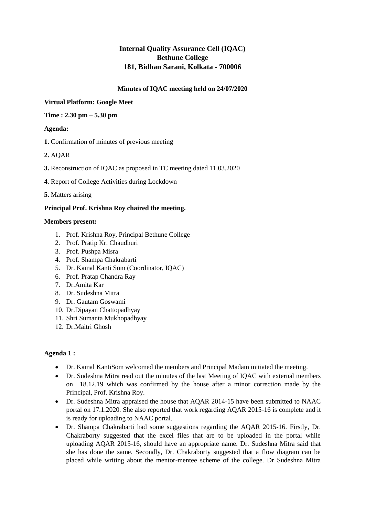# **Internal Quality Assurance Cell (IQAC) Bethune College 181, Bidhan Sarani, Kolkata - 700006**

### **Minutes of IQAC meeting held on 24/07/2020**

### **Virtual Platform: Google Meet**

#### **Time : 2.30 pm – 5.30 pm**

# **Agenda:**

**1.** Confirmation of minutes of previous meeting

- **2.** AQAR
- **3.** Reconstruction of IQAC as proposed in TC meeting dated 11.03.2020
- **4**. Report of College Activities during Lockdown
- **5.** Matters arising

### **Principal Prof. Krishna Roy chaired the meeting.**

#### **Members present:**

- 1. Prof. Krishna Roy, Principal Bethune College
- 2. Prof. Pratip Kr. Chaudhuri
- 3. Prof. Pushpa Misra
- 4. Prof. Shampa Chakrabarti
- 5. Dr. Kamal Kanti Som (Coordinator, IQAC)
- 6. Prof. Pratap Chandra Ray
- 7. Dr.Amita Kar
- 8. Dr. Sudeshna Mitra
- 9. Dr. Gautam Goswami
- 10. Dr.Dipayan Chattopadhyay
- 11. Shri Sumanta Mukhopadhyay
- 12. Dr.Maitri Ghosh

#### **Agenda 1 :**

- Dr. Kamal KantiSom welcomed the members and Principal Madam initiated the meeting.
- Dr. Sudeshna Mitra read out the minutes of the last Meeting of IQAC with external members on 18.12.19 which was confirmed by the house after a minor correction made by the Principal, Prof. Krishna Roy.
- Dr. Sudeshna Mitra appraised the house that AQAR 2014-15 have been submitted to NAAC portal on 17.1.2020. She also reported that work regarding AQAR 2015-16 is complete and it is ready for uploading to NAAC portal.
- Dr. Shampa Chakrabarti had some suggestions regarding the AQAR 2015-16. Firstly, Dr. Chakraborty suggested that the excel files that are to be uploaded in the portal while uploading AQAR 2015-16, should have an appropriate name. Dr. Sudeshna Mitra said that she has done the same. Secondly, Dr. Chakraborty suggested that a flow diagram can be placed while writing about the mentor-mentee scheme of the college. Dr Sudeshna Mitra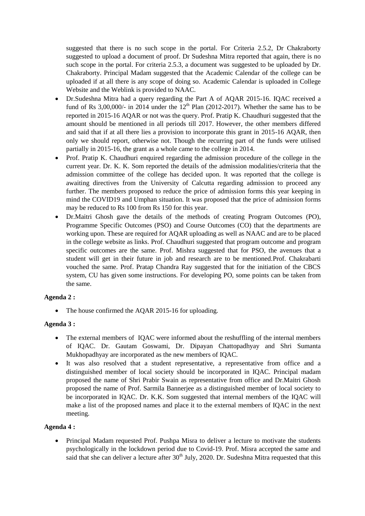suggested that there is no such scope in the portal. For Criteria 2.5.2, Dr Chakraborty suggested to upload a document of proof. Dr Sudeshna Mitra reported that again, there is no such scope in the portal. For criteria 2.5.3, a document was suggested to be uploaded by Dr. Chakraborty. Principal Madam suggested that the Academic Calendar of the college can be uploaded if at all there is any scope of doing so. Academic Calendar is uploaded in College Website and the Weblink is provided to NAAC.

- Dr.Sudeshna Mitra had a query regarding the Part A of AQAR 2015-16. IQAC received a fund of Rs  $3,00,000/4$  in  $2014$  under the  $12<sup>th</sup>$  Plan (2012-2017). Whether the same has to be reported in 2015-16 AQAR or not was the query. Prof. Pratip K. Chaudhuri suggested that the amount should be mentioned in all periods till 2017. However, the other members differed and said that if at all there lies a provision to incorporate this grant in 2015-16 AQAR, then only we should report, otherwise not. Though the recurring part of the funds were utilised partially in 2015-16, the grant as a whole came to the college in 2014.
- Prof. Pratip K. Chaudhuri enquired regarding the admission procedure of the college in the current year. Dr. K. K. Som reported the details of the admission modalities/criteria that the admission committee of the college has decided upon. It was reported that the college is awaiting directives from the University of Calcutta regarding admission to proceed any further. The members proposed to reduce the price of admission forms this year keeping in mind the COVID19 and Umphan situation. It was proposed that the price of admission forms may be reduced to Rs 100 from Rs 150 for this year.
- Dr.Maitri Ghosh gave the details of the methods of creating Program Outcomes (PO), Programme Specific Outcomes (PSO) and Course Outcomes (CO) that the departments are working upon. These are required for AQAR uploading as well as NAAC and are to be placed in the college website as links. Prof. Chaudhuri suggested that program outcome and program specific outcomes are the same. Prof. Mishra suggested that for PSO, the avenues that a student will get in their future in job and research are to be mentioned.Prof. Chakrabarti vouched the same. Prof. Pratap Chandra Ray suggested that for the initiation of the CBCS system, CU has given some instructions. For developing PO, some points can be taken from the same.

# **Agenda 2 :**

• The house confirmed the AQAR 2015-16 for uploading.

#### **Agenda 3 :**

- The external members of IQAC were informed about the reshuffling of the internal members of IQAC. Dr. Gautam Goswami, Dr. Dipayan Chattopadhyay and Shri Sumanta Mukhopadhyay are incorporated as the new members of IQAC.
- It was also resolved that a student representative, a representative from office and a distinguished member of local society should be incorporated in IQAC. Principal madam proposed the name of Shri Prabir Swain as representative from office and Dr.Maitri Ghosh proposed the name of Prof. Sarmila Bannerjee as a distinguished member of local society to be incorporated in IQAC. Dr. K.K. Som suggested that internal members of the IQAC will make a list of the proposed names and place it to the external members of IQAC in the next meeting.

#### **Agenda 4 :**

 Principal Madam requested Prof. Pushpa Misra to deliver a lecture to motivate the students psychologically in the lockdown period due to Covid-19. Prof. Misra accepted the same and said that she can deliver a lecture after  $30<sup>th</sup>$  July, 2020. Dr. Sudeshna Mitra requested that this